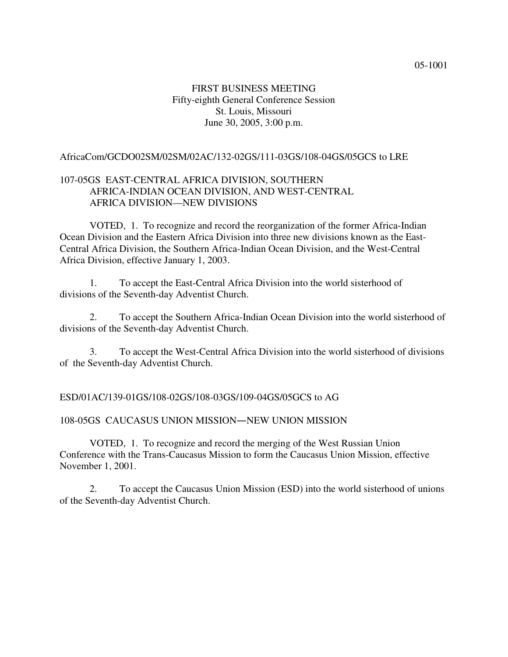# FIRST BUSINESS MEETING Fifty-eighth General Conference Session St. Louis, Missouri June 30, 2005, 3:00 p.m.

## AfricaCom/GCDO02SM/02SM/02AC/132-02GS/111-03GS/108-04GS/05GCS to LRE

# 107-05GS EAST-CENTRAL AFRICA DIVISION, SOUTHERN AFRICA-INDIAN OCEAN DIVISION, AND WEST-CENTRAL AFRICA DIVISION—NEW DIVISIONS

VOTED, 1. To recognize and record the reorganization of the former Africa-Indian Ocean Division and the Eastern Africa Division into three new divisions known as the East-Central Africa Division, the Southern Africa-Indian Ocean Division, and the West-Central Africa Division, effective January 1, 2003.

1. To accept the East-Central Africa Division into the world sisterhood of divisions of the Seventh-day Adventist Church.

2. To accept the Southern Africa-Indian Ocean Division into the world sisterhood of divisions of the Seventh-day Adventist Church.

3. To accept the West-Central Africa Division into the world sisterhood of divisions of the Seventh-day Adventist Church.

ESD/01AC/139-01GS/108-02GS/108-03GS/109-04GS/05GCS to AG

### 108-05GS CAUCASUS UNION MISSION—NEW UNION MISSION

VOTED, 1. To recognize and record the merging of the West Russian Union Conference with the Trans-Caucasus Mission to form the Caucasus Union Mission, effective November 1, 2001.

2. To accept the Caucasus Union Mission (ESD) into the world sisterhood of unions of the Seventh-day Adventist Church.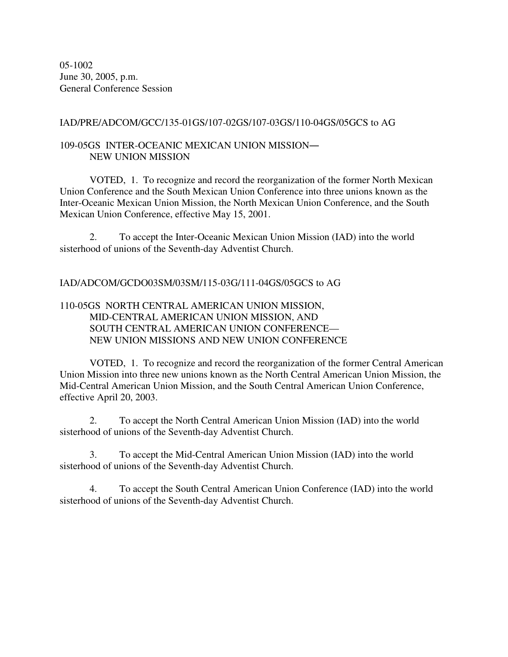05-1002 June 30, 2005, p.m. General Conference Session

IAD/PRE/ADCOM/GCC/135-01GS/107-02GS/107-03GS/110-04GS/05GCS to AG

# 109-05GS INTER-OCEANIC MEXICAN UNION MISSION NEW UNION MISSION

VOTED, 1. To recognize and record the reorganization of the former North Mexican Union Conference and the South Mexican Union Conference into three unions known as the Inter-Oceanic Mexican Union Mission, the North Mexican Union Conference, and the South Mexican Union Conference, effective May 15, 2001.

2. To accept the Inter-Oceanic Mexican Union Mission (IAD) into the world sisterhood of unions of the Seventh-day Adventist Church.

IAD/ADCOM/GCDO03SM/03SM/115-03G/111-04GS/05GCS to AG

# 110-05GS NORTH CENTRAL AMERICAN UNION MISSION, MID-CENTRAL AMERICAN UNION MISSION, AND SOUTH CENTRAL AMERICAN UNION CONFERENCE— NEW UNION MISSIONS AND NEW UNION CONFERENCE

VOTED, 1. To recognize and record the reorganization of the former Central American Union Mission into three new unions known as the North Central American Union Mission, the Mid-Central American Union Mission, and the South Central American Union Conference, effective April 20, 2003.

2. To accept the North Central American Union Mission (IAD) into the world sisterhood of unions of the Seventh-day Adventist Church.

3. To accept the Mid-Central American Union Mission (IAD) into the world sisterhood of unions of the Seventh-day Adventist Church.

4. To accept the South Central American Union Conference (IAD) into the world sisterhood of unions of the Seventh-day Adventist Church.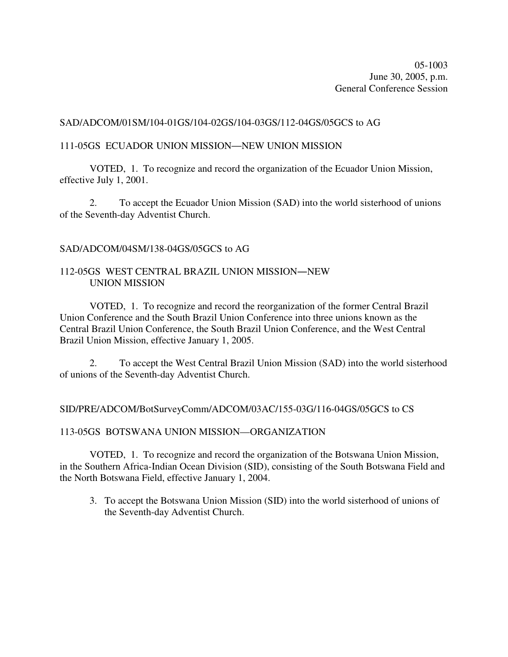05-1003 June 30, 2005, p.m. General Conference Session

## SAD/ADCOM/01SM/104-01GS/104-02GS/104-03GS/112-04GS/05GCS to AG

## 111-05GS ECUADOR UNION MISSION-NEW UNION MISSION

VOTED, 1. To recognize and record the organization of the Ecuador Union Mission, effective July 1, 2001.

2. To accept the Ecuador Union Mission (SAD) into the world sisterhood of unions of the Seventh-day Adventist Church.

### SAD/ADCOM/04SM/138-04GS/05GCS to AG

# 112-05GS WEST CENTRAL BRAZIL UNION MISSION-NEW UNION MISSION

VOTED, 1. To recognize and record the reorganization of the former Central Brazil Union Conference and the South Brazil Union Conference into three unions known as the Central Brazil Union Conference, the South Brazil Union Conference, and the West Central Brazil Union Mission, effective January 1, 2005.

2. To accept the West Central Brazil Union Mission (SAD) into the world sisterhood of unions of the Seventh-day Adventist Church.

### SID/PRE/ADCOM/BotSurveyComm/ADCOM/03AC/155-03G/116-04GS/05GCS to CS

### 113-05GS BOTSWANA UNION MISSION—ORGANIZATION

VOTED, 1. To recognize and record the organization of the Botswana Union Mission, in the Southern Africa-Indian Ocean Division (SID), consisting of the South Botswana Field and the North Botswana Field, effective January 1, 2004.

3. To accept the Botswana Union Mission (SID) into the world sisterhood of unions of the Seventh-day Adventist Church.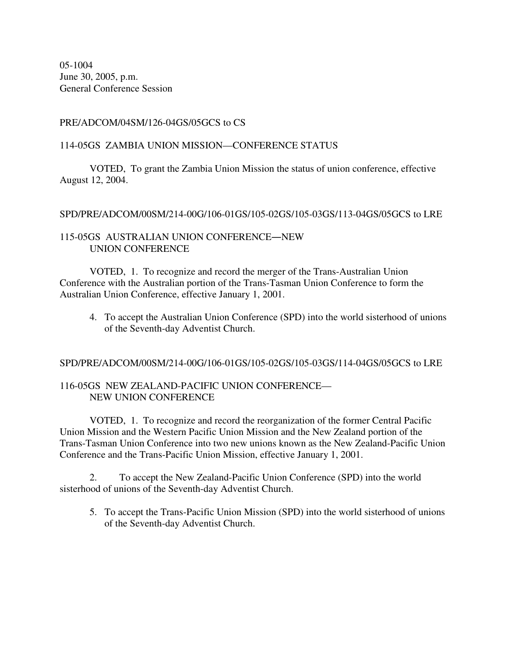05-1004 June 30, 2005, p.m. General Conference Session

# PRE/ADCOM/04SM/126-04GS/05GCS to CS

## 114-05GS ZAMBIA UNION MISSION—CONFERENCE STATUS

VOTED, To grant the Zambia Union Mission the status of union conference, effective August 12, 2004.

## SPD/PRE/ADCOM/00SM/214-00G/106-01GS/105-02GS/105-03GS/113-04GS/05GCS to LRE

# 115-05GS AUSTRALIAN UNION CONFERENCE—NEW UNION CONFERENCE

VOTED, 1. To recognize and record the merger of the Trans-Australian Union Conference with the Australian portion of the Trans-Tasman Union Conference to form the Australian Union Conference, effective January 1, 2001.

4. To accept the Australian Union Conference (SPD) into the world sisterhood of unions of the Seventh-day Adventist Church.

### SPD/PRE/ADCOM/00SM/214-00G/106-01GS/105-02GS/105-03GS/114-04GS/05GCS to LRE

# 116-05GS NEW ZEALAND-PACIFIC UNION CONFERENCE— NEW UNION CONFERENCE

VOTED, 1. To recognize and record the reorganization of the former Central Pacific Union Mission and the Western Pacific Union Mission and the New Zealand portion of the Trans-Tasman Union Conference into two new unions known as the New Zealand-Pacific Union Conference and the Trans-Pacific Union Mission, effective January 1, 2001.

2. To accept the New Zealand-Pacific Union Conference (SPD) into the world sisterhood of unions of the Seventh-day Adventist Church.

5. To accept the Trans-Pacific Union Mission (SPD) into the world sisterhood of unions of the Seventh-day Adventist Church.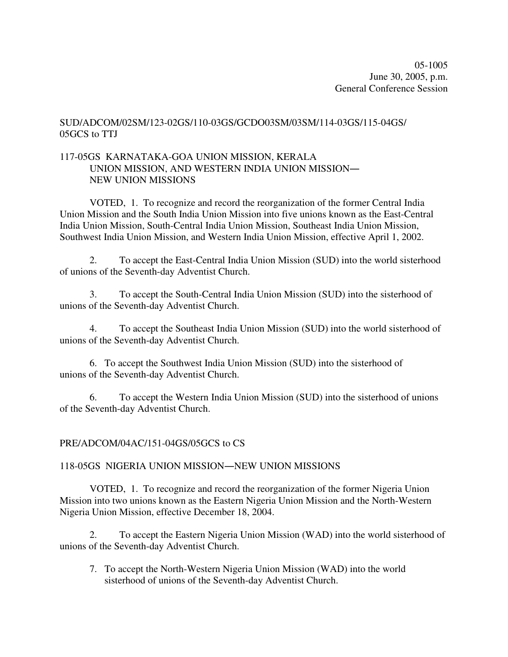# SUD/ADCOM/02SM/123-02GS/110-03GS/GCDO03SM/03SM/114-03GS/115-04GS/ 05GCS to TTJ

# 117-05GS KARNATAKA-GOA UNION MISSION, KERALA UNION MISSION, AND WESTERN INDIA UNION MISSION NEW UNION MISSIONS

VOTED, 1. To recognize and record the reorganization of the former Central India Union Mission and the South India Union Mission into five unions known as the East-Central India Union Mission, South-Central India Union Mission, Southeast India Union Mission, Southwest India Union Mission, and Western India Union Mission, effective April 1, 2002.

2. To accept the East-Central India Union Mission (SUD) into the world sisterhood of unions of the Seventh-day Adventist Church.

3. To accept the South-Central India Union Mission (SUD) into the sisterhood of unions of the Seventh-day Adventist Church.

4. To accept the Southeast India Union Mission (SUD) into the world sisterhood of unions of the Seventh-day Adventist Church.

6. To accept the Southwest India Union Mission (SUD) into the sisterhood of unions of the Seventh-day Adventist Church.

6. To accept the Western India Union Mission (SUD) into the sisterhood of unions of the Seventh-day Adventist Church.

# PRE/ADCOM/04AC/151-04GS/05GCS to CS

# 118-05GS NIGERIA UNION MISSION—NEW UNION MISSIONS

VOTED, 1. To recognize and record the reorganization of the former Nigeria Union Mission into two unions known as the Eastern Nigeria Union Mission and the North-Western Nigeria Union Mission, effective December 18, 2004.

2. To accept the Eastern Nigeria Union Mission (WAD) into the world sisterhood of unions of the Seventh-day Adventist Church.

7. To accept the North-Western Nigeria Union Mission (WAD) into the world sisterhood of unions of the Seventh-day Adventist Church.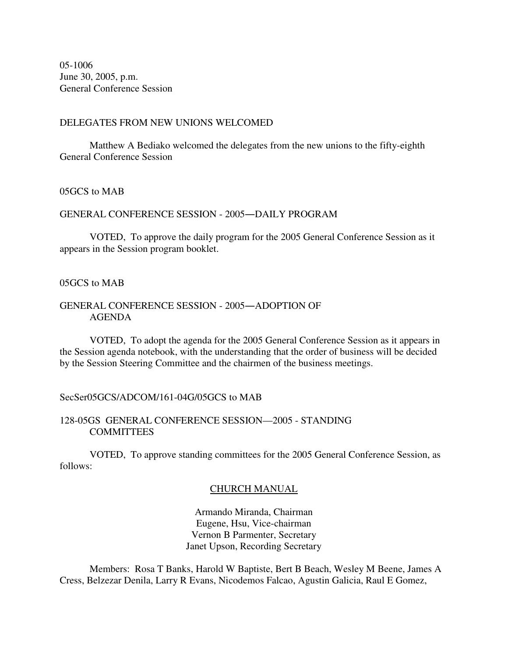05-1006 June 30, 2005, p.m. General Conference Session

#### DELEGATES FROM NEW UNIONS WELCOMED

Matthew A Bediako welcomed the delegates from the new unions to the fifty-eighth General Conference Session

## 05GCS to MAB

## GENERAL CONFERENCE SESSION - 2005-DAILY PROGRAM

VOTED, To approve the daily program for the 2005 General Conference Session as it appears in the Session program booklet.

#### 05GCS to MAB

# GENERAL CONFERENCE SESSION - 2005-ADOPTION OF AGENDA

VOTED, To adopt the agenda for the 2005 General Conference Session as it appears in the Session agenda notebook, with the understanding that the order of business will be decided by the Session Steering Committee and the chairmen of the business meetings.

#### SecSer05GCS/ADCOM/161-04G/05GCS to MAB

## 128-05GS GENERAL CONFERENCE SESSION—2005 - STANDING COMMITTEES

VOTED, To approve standing committees for the 2005 General Conference Session, as follows:

## CHURCH MANUAL

Armando Miranda, Chairman Eugene, Hsu, Vice-chairman Vernon B Parmenter, Secretary Janet Upson, Recording Secretary

Members: Rosa T Banks, Harold W Baptiste, Bert B Beach, Wesley M Beene, James A Cress, Belzezar Denila, Larry R Evans, Nicodemos Falcao, Agustin Galicia, Raul E Gomez,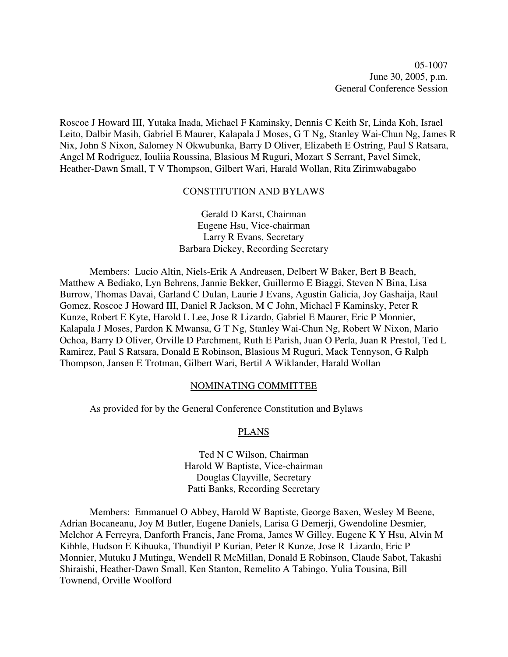05-1007 June 30, 2005, p.m. General Conference Session

Roscoe J Howard III, Yutaka Inada, Michael F Kaminsky, Dennis C Keith Sr, Linda Koh, Israel Leito, Dalbir Masih, Gabriel E Maurer, Kalapala J Moses, G T Ng, Stanley Wai-Chun Ng, James R Nix, John S Nixon, Salomey N Okwubunka, Barry D Oliver, Elizabeth E Ostring, Paul S Ratsara, Angel M Rodriguez, Iouliia Roussina, Blasious M Ruguri, Mozart S Serrant, Pavel Simek, Heather-Dawn Small, T V Thompson, Gilbert Wari, Harald Wollan, Rita Zirimwabagabo

#### CONSTITUTION AND BYLAWS

Gerald D Karst, Chairman Eugene Hsu, Vice-chairman Larry R Evans, Secretary Barbara Dickey, Recording Secretary

Members: Lucio Altin, Niels-Erik A Andreasen, Delbert W Baker, Bert B Beach, Matthew A Bediako, Lyn Behrens, Jannie Bekker, Guillermo E Biaggi, Steven N Bina, Lisa Burrow, Thomas Davai, Garland C Dulan, Laurie J Evans, Agustin Galicia, Joy Gashaija, Raul Gomez, Roscoe J Howard III, Daniel R Jackson, M C John, Michael F Kaminsky, Peter R Kunze, Robert E Kyte, Harold L Lee, Jose R Lizardo, Gabriel E Maurer, Eric P Monnier, Kalapala J Moses, Pardon K Mwansa, G T Ng, Stanley Wai-Chun Ng, Robert W Nixon, Mario Ochoa, Barry D Oliver, Orville D Parchment, Ruth E Parish, Juan O Perla, Juan R Prestol, Ted L Ramirez, Paul S Ratsara, Donald E Robinson, Blasious M Ruguri, Mack Tennyson, G Ralph Thompson, Jansen E Trotman, Gilbert Wari, Bertil A Wiklander, Harald Wollan

#### NOMINATING COMMITTEE

As provided for by the General Conference Constitution and Bylaws

#### PLANS

Ted N C Wilson, Chairman Harold W Baptiste, Vice-chairman Douglas Clayville, Secretary Patti Banks, Recording Secretary

Members: Emmanuel O Abbey, Harold W Baptiste, George Baxen, Wesley M Beene, Adrian Bocaneanu, Joy M Butler, Eugene Daniels, Larisa G Demerji, Gwendoline Desmier, Melchor A Ferreyra, Danforth Francis, Jane Froma, James W Gilley, Eugene K Y Hsu, Alvin M Kibble, Hudson E Kibuuka, Thundiyil P Kurian, Peter R Kunze, Jose R Lizardo, Eric P Monnier, Mutuku J Mutinga, Wendell R McMillan, Donald E Robinson, Claude Sabot, Takashi Shiraishi, Heather-Dawn Small, Ken Stanton, Remelito A Tabingo, Yulia Tousina, Bill Townend, Orville Woolford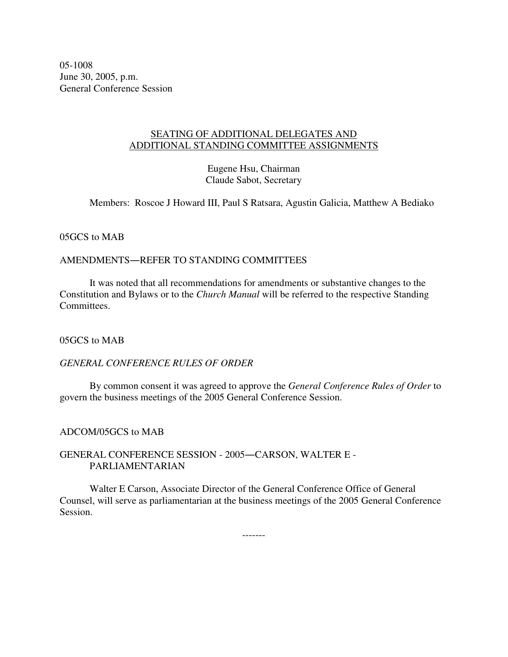05-1008 June 30, 2005, p.m. General Conference Session

## SEATING OF ADDITIONAL DELEGATES AND ADDITIONAL STANDING COMMITTEE ASSIGNMENTS

Eugene Hsu, Chairman Claude Sabot, Secretary

Members: Roscoe J Howard III, Paul S Ratsara, Agustin Galicia, Matthew A Bediako

05GCS to MAB

# AMENDMENTS-REFER TO STANDING COMMITTEES

It was noted that all recommendations for amendments or substantive changes to the Constitution and Bylaws or to the *Church Manual* will be referred to the respective Standing Committees.

05GCS to MAB

# *GENERAL CONFERENCE RULES OF ORDER*

By common consent it was agreed to approve the *General Conference Rules of Order* to govern the business meetings of the 2005 General Conference Session.

## ADCOM/05GCS to MAB

## GENERAL CONFERENCE SESSION - 2005-CARSON, WALTER E -PARLIAMENTARIAN

Walter E Carson, Associate Director of the General Conference Office of General Counsel, will serve as parliamentarian at the business meetings of the 2005 General Conference Session.

-------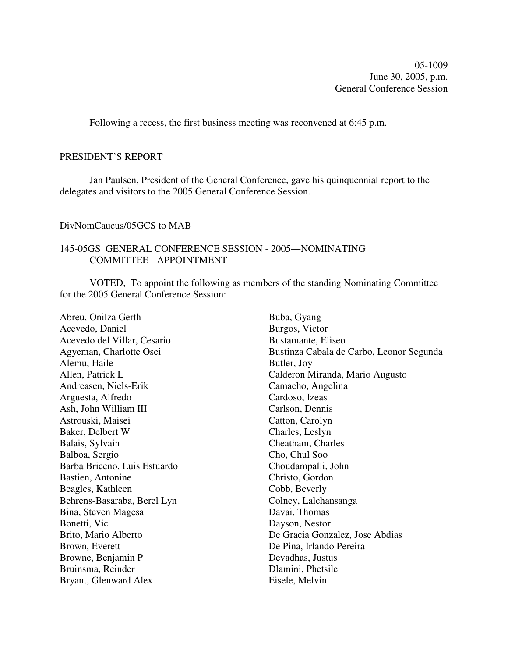05-1009 June 30, 2005, p.m. General Conference Session

Following a recess, the first business meeting was reconvened at 6:45 p.m.

## PRESIDENT'S REPORT

Jan Paulsen, President of the General Conference, gave his quinquennial report to the delegates and visitors to the 2005 General Conference Session.

#### DivNomCaucus/05GCS to MAB

# 145-05GS GENERAL CONFERENCE SESSION - 2005-NOMINATING COMMITTEE - APPOINTMENT

VOTED, To appoint the following as members of the standing Nominating Committee for the 2005 General Conference Session:

Abreu, Onilza Gerth Acevedo, Daniel Acevedo del Villar, Cesario Agyeman, Charlotte Osei Alemu, Haile Allen, Patrick L Andreasen, Niels-Erik Arguesta, Alfredo Ash, John William III Astrouski, Maisei Baker, Delbert W Balais, Sylvain Balboa, Sergio Barba Briceno, Luis Estuardo Bastien, Antonine Beagles, Kathleen Behrens-Basaraba, Berel Lyn Bina, Steven Magesa Bonetti, Vic Brito, Mario Alberto Brown, Everett Browne, Benjamin P Bruinsma, Reinder Bryant, Glenward Alex

Buba, Gyang Burgos, Victor Bustamante, Eliseo Bustinza Cabala de Carbo, Leonor Segunda Butler, Joy Calderon Miranda, Mario Augusto Camacho, Angelina Cardoso, Izeas Carlson, Dennis Catton, Carolyn Charles, Leslyn Cheatham, Charles Cho, Chul Soo Choudampalli, John Christo, Gordon Cobb, Beverly Colney, Lalchansanga Davai, Thomas Dayson, Nestor De Gracia Gonzalez, Jose Abdias De Pina, Irlando Pereira Devadhas, Justus Dlamini, Phetsile Eisele, Melvin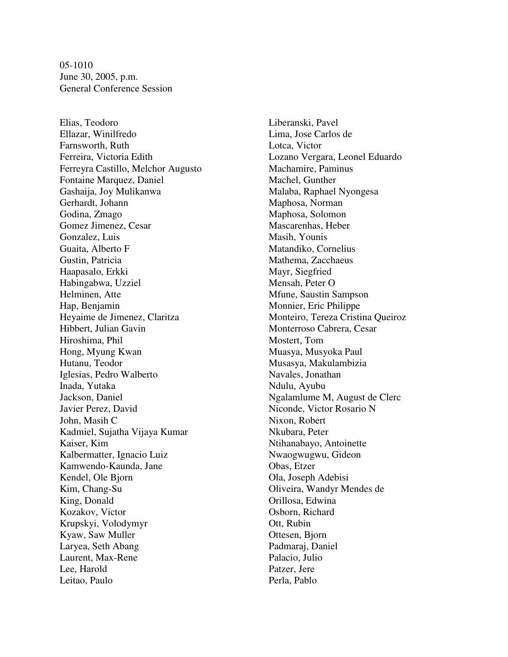05-1010 June 30, 2005, p.m. General Conference Session

Elias, Teodoro Ellazar, Winilfredo Farnsworth, Ruth Ferreira, Victoria Edith Ferreyra Castillo, Melchor Augusto Fontaine Marquez, Daniel Gashaija, Joy Mulikanwa Gerhardt, Johann Godina, Zmago Gomez Jimenez, Cesar Gonzalez, Luis Guaita, Alberto F Gustin, Patricia Haapasalo, Erkki Habingabwa, Uzziel Helminen, Atte Hap, Benjamin Heyaime de Jimenez, Claritza Hibbert, Julian Gavin Hiroshima, Phil Hong, Myung Kwan Hutanu, Teodor Iglesias, Pedro Walberto Inada, Yutaka Jackson, Daniel Javier Perez, David John, Masih C Kadmiel, Sujatha Vijaya Kumar Kaiser, Kim Kalbermatter, Ignacio Luiz Kamwendo-Kaunda, Jane Kendel, Ole Bjorn Kim, Chang-Su King, Donald Kozakov, Victor Krupskyi, Volodymyr Kyaw, Saw Muller Laryea, Seth Abang Laurent, Max-Rene Lee, Harold Leitao, Paulo

Liberanski, Pavel Lima, Jose Carlos de Lotca, Victor Lozano Vergara, Leonel Eduardo Machamire, Paminus Machel, Gunther Malaba, Raphael Nyongesa Maphosa, Norman Maphosa, Solomon Mascarenhas, Heber Masih, Younis Matandiko, Cornelius Mathema, Zacchaeus Mayr, Siegfried Mensah, Peter O Mfune, Saustin Sampson Monnier, Eric Philippe Monteiro, Tereza Cristina Queiroz Monterroso Cabrera, Cesar Mostert, Tom Muasya, Musyoka Paul Musasya, Makulambizia Navales, Jonathan Ndulu, Ayubu Ngalamlume M, August de Clerc Niconde, Victor Rosario N Nixon, Robert Nkubara, Peter Ntihanabayo, Antoinette Nwaogwugwu, Gideon Obas, Etzer Ola, Joseph Adebisi Oliveira, Wandyr Mendes de Orillosa, Edwina Osborn, Richard Ott, Rubin Ottesen, Bjorn Padmaraj, Daniel Palacio, Julio Patzer, Jere Perla, Pablo